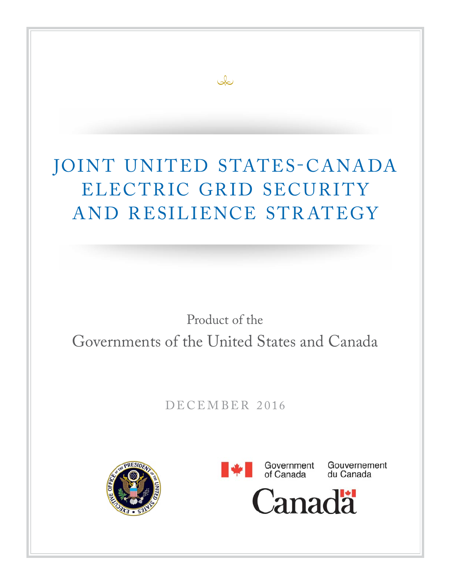## JOINT UNITED STATES-CANADA ELECTRIC GRID SECURITY AND RESILIENCE STRATEGY

ىكى

## Product of the Governments of the United States and Canada

DECEMBER 2016





Gouvernement du Canada

Canadä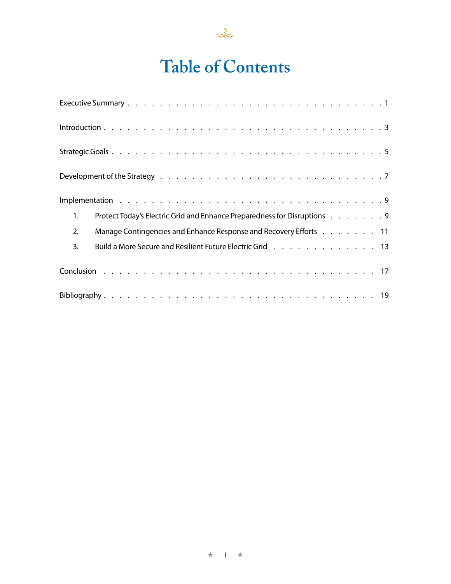

## **Table of Contents**

| Protect Today's Electric Grid and Enhance Preparedness for Disruptions 9<br>1. |
|--------------------------------------------------------------------------------|
| Manage Contingencies and Enhance Response and Recovery Efforts 11<br>2.        |
| Build a More Secure and Resilient Future Electric Grid 13<br>3.                |
|                                                                                |
|                                                                                |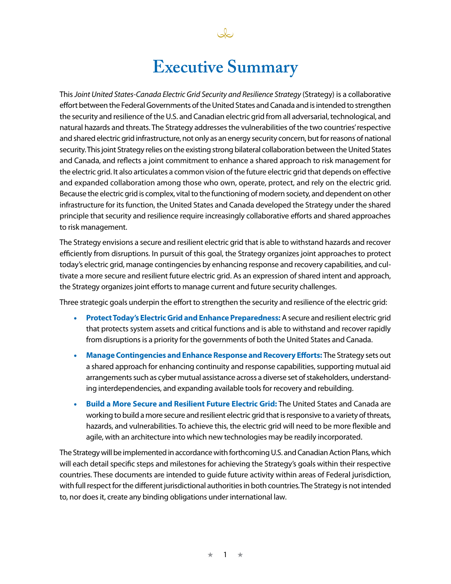## **Executive Summary**

This *Joint United States-Canada Electric Grid Security and Resilience Strategy* (Strategy) is a collaborative effort between the Federal Governments of the United States and Canada and is intended to strengthen the security and resilience of the U.S. and Canadian electric grid from all adversarial, technological, and natural hazards and threats. The Strategy addresses the vulnerabilities of the two countries' respective and shared electric grid infrastructure, not only as an energy security concern, but for reasons of national security. This joint Strategy relies on the existing strong bilateral collaboration between the United States and Canada, and reflects a joint commitment to enhance a shared approach to risk management for the electric grid. It also articulates a common vision of the future electric grid that depends on effective and expanded collaboration among those who own, operate, protect, and rely on the electric grid. Because the electric grid is complex, vital to the functioning of modern society, and dependent on other infrastructure for its function, the United States and Canada developed the Strategy under the shared principle that security and resilience require increasingly collaborative efforts and shared approaches to risk management.

The Strategy envisions a secure and resilient electric grid that is able to withstand hazards and recover efficiently from disruptions. In pursuit of this goal, the Strategy organizes joint approaches to protect today's electric grid, manage contingencies by enhancing response and recovery capabilities, and cultivate a more secure and resilient future electric grid. As an expression of shared intent and approach, the Strategy organizes joint efforts to manage current and future security challenges.

Three strategic goals underpin the effort to strengthen the security and resilience of the electric grid:

- **Protect Today's Electric Grid and Enhance Preparedness:** A secure and resilient electric grid that protects system assets and critical functions and is able to withstand and recover rapidly from disruptions is a priority for the governments of both the United States and Canada.
- **Manage Contingencies and Enhance Response and Recovery Efforts:** The Strategy sets out a shared approach for enhancing continuity and response capabilities, supporting mutual aid arrangements such as cyber mutual assistance across a diverse set of stakeholders, understanding interdependencies, and expanding available tools for recovery and rebuilding.
- **Build a More Secure and Resilient Future Electric Grid:** The United States and Canada are working to build a more secure and resilient electric grid that is responsive to a variety of threats, hazards, and vulnerabilities. To achieve this, the electric grid will need to be more flexible and agile, with an architecture into which new technologies may be readily incorporated.

The Strategy will be implemented in accordance with forthcoming U.S. and Canadian Action Plans, which will each detail specific steps and milestones for achieving the Strategy's goals within their respective countries. These documents are intended to guide future activity within areas of Federal jurisdiction, with full respect for the different jurisdictional authorities in both countries. The Strategy is not intended to, nor does it, create any binding obligations under international law.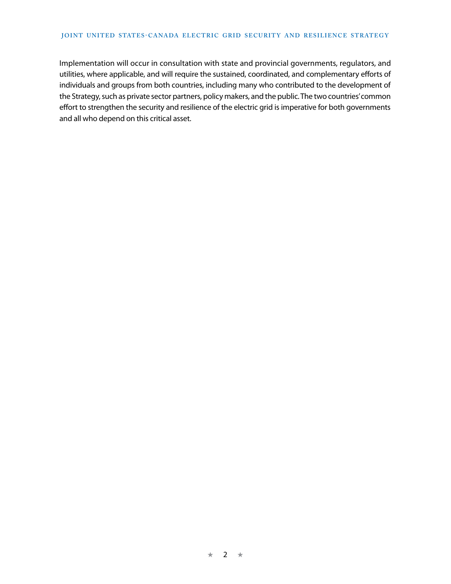#### **JOINT UNITED STATES-CANADA ELECTRIC GRID SECURITY AND RESILIENCE STRATEGY**

Implementation will occur in consultation with state and provincial governments, regulators, and utilities, where applicable, and will require the sustained, coordinated, and complementary efforts of individuals and groups from both countries, including many who contributed to the development of the Strategy, such as private sector partners, policy makers, and the public. The two countries' common effort to strengthen the security and resilience of the electric grid is imperative for both governments and all who depend on this critical asset.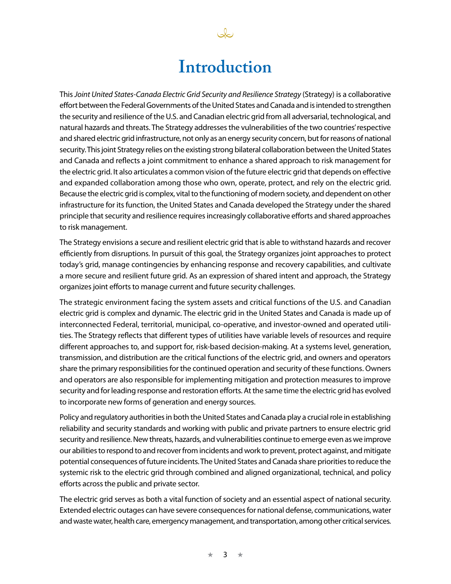### **Introduction**

This *Joint United States-Canada Electric Grid Security and Resilience Strategy* (Strategy) is a collaborative effort between the Federal Governments of the United States and Canada and is intended to strengthen the security and resilience of the U.S. and Canadian electric grid from all adversarial, technological, and natural hazards and threats. The Strategy addresses the vulnerabilities of the two countries' respective and shared electric grid infrastructure, not only as an energy security concern, but for reasons of national security. This joint Strategy relies on the existing strong bilateral collaboration between the United States and Canada and reflects a joint commitment to enhance a shared approach to risk management for the electric grid. It also articulates a common vision of the future electric grid that depends on effective and expanded collaboration among those who own, operate, protect, and rely on the electric grid. Because the electric grid is complex, vital to the functioning of modern society, and dependent on other infrastructure for its function, the United States and Canada developed the Strategy under the shared principle that security and resilience requires increasingly collaborative efforts and shared approaches to risk management.

The Strategy envisions a secure and resilient electric grid that is able to withstand hazards and recover efficiently from disruptions. In pursuit of this goal, the Strategy organizes joint approaches to protect today's grid, manage contingencies by enhancing response and recovery capabilities, and cultivate a more secure and resilient future grid. As an expression of shared intent and approach, the Strategy organizes joint efforts to manage current and future security challenges.

The strategic environment facing the system assets and critical functions of the U.S. and Canadian electric grid is complex and dynamic. The electric grid in the United States and Canada is made up of interconnected Federal, territorial, municipal, co-operative, and investor-owned and operated utilities. The Strategy reflects that different types of utilities have variable levels of resources and require different approaches to, and support for, risk-based decision-making. At a systems level, generation, transmission, and distribution are the critical functions of the electric grid, and owners and operators share the primary responsibilities for the continued operation and security of these functions. Owners and operators are also responsible for implementing mitigation and protection measures to improve security and for leading response and restoration efforts. At the same time the electric grid has evolved to incorporate new forms of generation and energy sources.

Policy and regulatory authorities in both the United States and Canada play a crucial role in establishing reliability and security standards and working with public and private partners to ensure electric grid security and resilience. New threats, hazards, and vulnerabilities continue to emerge even as we improve our abilities to respond to and recover from incidents and work to prevent, protect against, and mitigate potential consequences of future incidents. The United States and Canada share priorities to reduce the systemic risk to the electric grid through combined and aligned organizational, technical, and policy efforts across the public and private sector.

The electric grid serves as both a vital function of society and an essential aspect of national security. Extended electric outages can have severe consequences for national defense, communications, water and waste water, health care, emergency management, and transportation, among other critical services.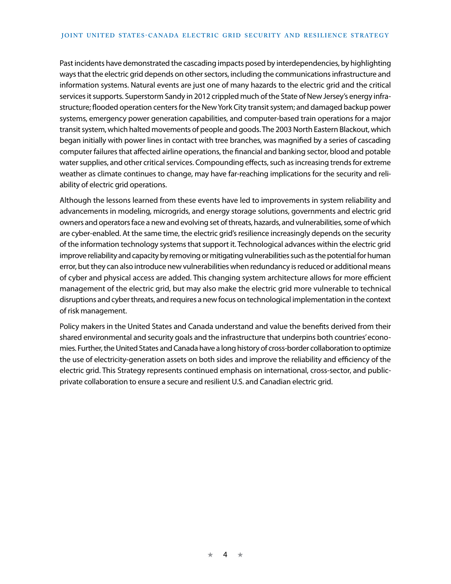Past incidents have demonstrated the cascading impacts posed by interdependencies, by highlighting ways that the electric grid depends on other sectors, including the communications infrastructure and information systems. Natural events are just one of many hazards to the electric grid and the critical services it supports. Superstorm Sandy in 2012 crippled much of the State of New Jersey's energy infrastructure; flooded operation centers for the New York City transit system; and damaged backup power systems, emergency power generation capabilities, and computer-based train operations for a major transit system, which halted movements of people and goods. The 2003 North Eastern Blackout, which began initially with power lines in contact with tree branches, was magnified by a series of cascading computer failures that affected airline operations, the financial and banking sector, blood and potable water supplies, and other critical services. Compounding effects, such as increasing trends for extreme weather as climate continues to change, may have far-reaching implications for the security and reliability of electric grid operations.

Although the lessons learned from these events have led to improvements in system reliability and advancements in modeling, microgrids, and energy storage solutions, governments and electric grid owners and operators face a new and evolving set of threats, hazards, and vulnerabilities, some of which are cyber-enabled. At the same time, the electric grid's resilience increasingly depends on the security of the information technology systems that support it. Technological advances within the electric grid improve reliability and capacity by removing or mitigating vulnerabilities such as the potential for human error, but they can also introduce new vulnerabilities when redundancy is reduced or additional means of cyber and physical access are added. This changing system architecture allows for more efficient management of the electric grid, but may also make the electric grid more vulnerable to technical disruptions and cyber threats, and requires a new focus on technological implementation in the context of risk management.

Policy makers in the United States and Canada understand and value the benefits derived from their shared environmental and security goals and the infrastructure that underpins both countries' economies. Further, the United States and Canada have a long history of cross-border collaboration to optimize the use of electricity-generation assets on both sides and improve the reliability and efficiency of the electric grid. This Strategy represents continued emphasis on international, cross-sector, and publicprivate collaboration to ensure a secure and resilient U.S. and Canadian electric grid.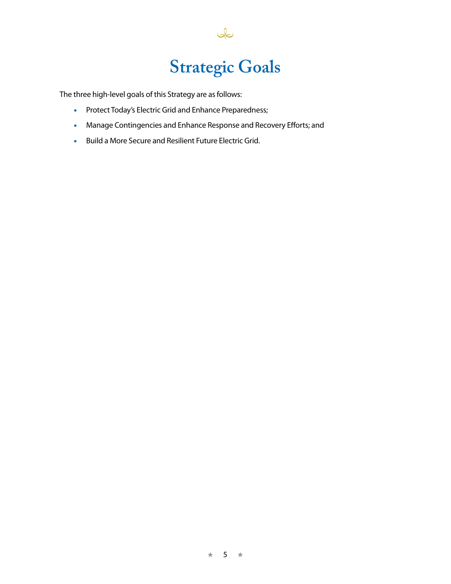## **Strategic Goals**

 $Q$ 

The three high-level goals of this Strategy are as follows:

- Protect Today's Electric Grid and Enhance Preparedness;
- Manage Contingencies and Enhance Response and Recovery Efforts; and
- Build a More Secure and Resilient Future Electric Grid.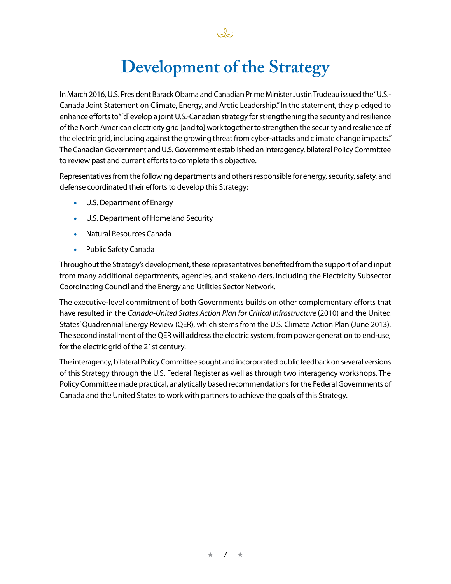## **Development of the Strategy**

In March 2016, U.S. President Barack Obama and Canadian Prime Minister Justin Trudeau issued the "U.S.- Canada Joint Statement on Climate, Energy, and Arctic Leadership." In the statement, they pledged to enhance efforts to"[d]evelop a joint U.S.-Canadian strategy for strengthening the security and resilience of the North American electricity grid [and to] work together to strengthen the security and resilience of the electric grid, including against the growing threat from cyber-attacks and climate change impacts." The Canadian Government and U.S. Government established an interagency, bilateral Policy Committee to review past and current efforts to complete this objective.

Representatives from the following departments and others responsible for energy, security, safety, and defense coordinated their efforts to develop this Strategy:

- U.S. Department of Energy
- U.S. Department of Homeland Security
- Natural Resources Canada
- Public Safety Canada

Throughout the Strategy's development, these representatives benefited from the support of and input from many additional departments, agencies, and stakeholders, including the Electricity Subsector Coordinating Council and the Energy and Utilities Sector Network.

The executive-level commitment of both Governments builds on other complementary efforts that have resulted in the *Canada-United States Action Plan for Critical Infrastructure* (2010) and the United States' Quadrennial Energy Review (QER), which stems from the U.S. Climate Action Plan (June 2013). The second installment of the QER will address the electric system, from power generation to end-use, for the electric grid of the 21st century.

The interagency, bilateral Policy Committee sought and incorporated public feedback on several versions of this Strategy through the U.S. Federal Register as well as through two interagency workshops. The Policy Committee made practical, analytically based recommendations for the Federal Governments of Canada and the United States to work with partners to achieve the goals of this Strategy.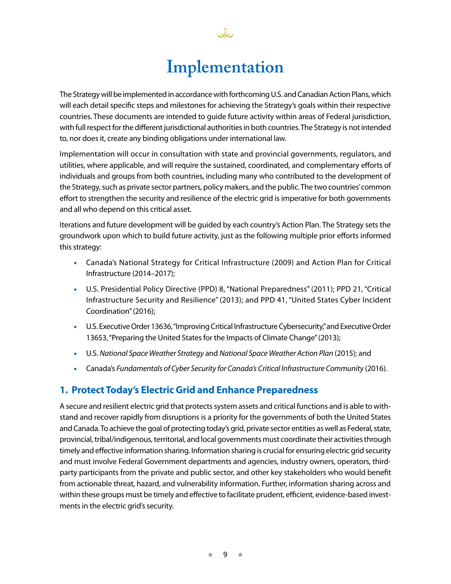Ja

The Strategy will be implemented in accordance with forthcoming U.S. and Canadian Action Plans, which will each detail specific steps and milestones for achieving the Strategy's goals within their respective countries. These documents are intended to guide future activity within areas of Federal jurisdiction, with full respect for the different jurisdictional authorities in both countries. The Strategy is not intended to, nor does it, create any binding obligations under international law.

Implementation will occur in consultation with state and provincial governments, regulators, and utilities, where applicable, and will require the sustained, coordinated, and complementary efforts of individuals and groups from both countries, including many who contributed to the development of the Strategy, such as private sector partners, policy makers, and the public. The two countries' common effort to strengthen the security and resilience of the electric grid is imperative for both governments and all who depend on this critical asset.

Iterations and future development will be guided by each country's Action Plan. The Strategy sets the groundwork upon which to build future activity, just as the following multiple prior efforts informed this strategy:

- Canada's National Strategy for Critical Infrastructure (2009) and Action Plan for Critical Infrastructure (2014–2017);
- U.S. Presidential Policy Directive (PPD) 8, "National Preparedness" (2011); PPD 21, "Critical Infrastructure Security and Resilience" (2013); and PPD 41, "United States Cyber Incident Coordination" (2016);
- U.S. Executive Order 13636, "Improving Critical Infrastructure Cybersecurity," and Executive Order 13653, "Preparing the United States for the Impacts of Climate Change" (2013);
- U.S.*National Space Weather Strategy* and *National Space Weather Action Plan* (2015); and
- Canada's *Fundamentals of Cyber Security for Canada's Critical Infrastructure Community* (2016).

#### **1. Protect Today's Electric Grid and Enhance Preparedness**

A secure and resilient electric grid that protects system assets and critical functions and is able to withstand and recover rapidly from disruptions is a priority for the governments of both the United States and Canada. To achieve the goal of protecting today's grid, private sector entities as well as Federal, state, provincial, tribal/indigenous, territorial, and local governments must coordinate their activities through timely and effective information sharing. Information sharing is crucial for ensuring electric grid security and must involve Federal Government departments and agencies, industry owners, operators, thirdparty participants from the private and public sector, and other key stakeholders who would benefit from actionable threat, hazard, and vulnerability information. Further, information sharing across and within these groups must be timely and effective to facilitate prudent, efficient, evidence-based investments in the electric grid's security.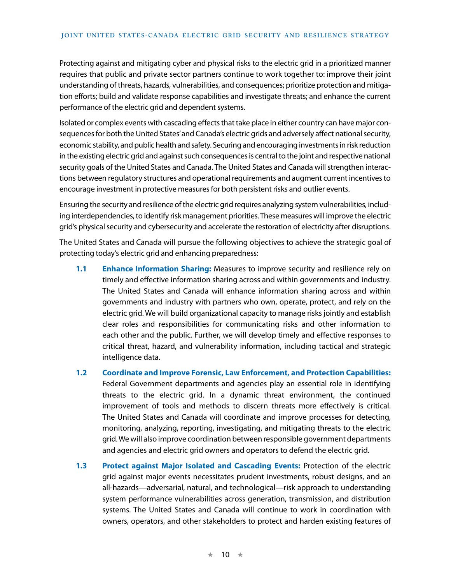Protecting against and mitigating cyber and physical risks to the electric grid in a prioritized manner requires that public and private sector partners continue to work together to: improve their joint understanding of threats, hazards, vulnerabilities, and consequences; prioritize protection and mitigation efforts; build and validate response capabilities and investigate threats; and enhance the current performance of the electric grid and dependent systems.

Isolated or complex events with cascading effects that take place in either country can have major consequences for both the United States' and Canada's electric grids and adversely affect national security, economic stability, and public health and safety. Securing and encouraging investments in risk reduction in the existing electric grid and against such consequences is central to the joint and respective national security goals of the United States and Canada. The United States and Canada will strengthen interactions between regulatory structures and operational requirements and augment current incentives to encourage investment in protective measures for both persistent risks and outlier events.

Ensuring the security and resilience of the electric grid requires analyzing system vulnerabilities, including interdependencies, to identify risk management priorities. These measures will improve the electric grid's physical security and cybersecurity and accelerate the restoration of electricity after disruptions.

The United States and Canada will pursue the following objectives to achieve the strategic goal of protecting today's electric grid and enhancing preparedness:

- **1.1 Enhance Information Sharing:** Measures to improve security and resilience rely on timely and effective information sharing across and within governments and industry. The United States and Canada will enhance information sharing across and within governments and industry with partners who own, operate, protect, and rely on the electric grid. We will build organizational capacity to manage risks jointly and establish clear roles and responsibilities for communicating risks and other information to each other and the public. Further, we will develop timely and effective responses to critical threat, hazard, and vulnerability information, including tactical and strategic intelligence data.
- **1.2 Coordinate and Improve Forensic, Law Enforcement, and Protection Capabilities:** Federal Government departments and agencies play an essential role in identifying threats to the electric grid. In a dynamic threat environment, the continued improvement of tools and methods to discern threats more effectively is critical. The United States and Canada will coordinate and improve processes for detecting, monitoring, analyzing, reporting, investigating, and mitigating threats to the electric grid. We will also improve coordination between responsible government departments and agencies and electric grid owners and operators to defend the electric grid.
- **1.3 Protect against Major Isolated and Cascading Events:** Protection of the electric grid against major events necessitates prudent investments, robust designs, and an all-hazards—adversarial, natural, and technological—risk approach to understanding system performance vulnerabilities across generation, transmission, and distribution systems. The United States and Canada will continue to work in coordination with owners, operators, and other stakeholders to protect and harden existing features of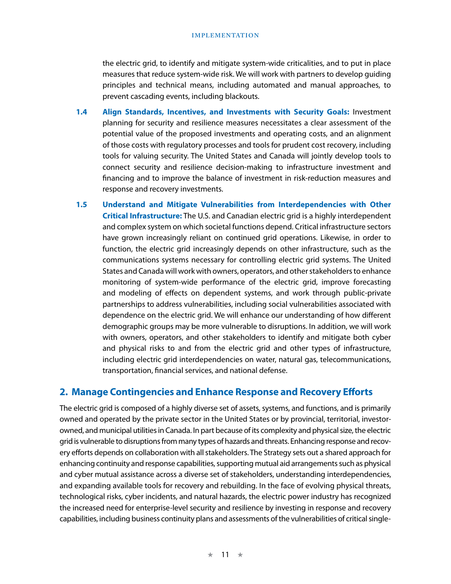the electric grid, to identify and mitigate system-wide criticalities, and to put in place measures that reduce system-wide risk. We will work with partners to develop guiding principles and technical means, including automated and manual approaches, to prevent cascading events, including blackouts.

- **1.4 Align Standards, Incentives, and Investments with Security Goals:** Investment planning for security and resilience measures necessitates a clear assessment of the potential value of the proposed investments and operating costs, and an alignment of those costs with regulatory processes and tools for prudent cost recovery, including tools for valuing security. The United States and Canada will jointly develop tools to connect security and resilience decision-making to infrastructure investment and financing and to improve the balance of investment in risk-reduction measures and response and recovery investments.
- **1.5 Understand and Mitigate Vulnerabilities from Interdependencies with Other Critical Infrastructure:** The U.S. and Canadian electric grid is a highly interdependent and complex system on which societal functions depend. Critical infrastructure sectors have grown increasingly reliant on continued grid operations. Likewise, in order to function, the electric grid increasingly depends on other infrastructure, such as the communications systems necessary for controlling electric grid systems. The United States and Canada will work with owners, operators, and other stakeholders to enhance monitoring of system-wide performance of the electric grid, improve forecasting and modeling of effects on dependent systems, and work through public-private partnerships to address vulnerabilities, including social vulnerabilities associated with dependence on the electric grid. We will enhance our understanding of how different demographic groups may be more vulnerable to disruptions. In addition, we will work with owners, operators, and other stakeholders to identify and mitigate both cyber and physical risks to and from the electric grid and other types of infrastructure, including electric grid interdependencies on water, natural gas, telecommunications, transportation, financial services, and national defense.

#### **2. Manage Contingencies and Enhance Response and Recovery Efforts**

The electric grid is composed of a highly diverse set of assets, systems, and functions, and is primarily owned and operated by the private sector in the United States or by provincial, territorial, investorowned, and municipal utilities in Canada. In part because of its complexity and physical size, the electric grid is vulnerable to disruptions from many types of hazards and threats. Enhancing response and recovery efforts depends on collaboration with all stakeholders. The Strategy sets out a shared approach for enhancing continuity and response capabilities, supporting mutual aid arrangements such as physical and cyber mutual assistance across a diverse set of stakeholders, understanding interdependencies, and expanding available tools for recovery and rebuilding. In the face of evolving physical threats, technological risks, cyber incidents, and natural hazards, the electric power industry has recognized the increased need for enterprise-level security and resilience by investing in response and recovery capabilities, including business continuity plans and assessments of the vulnerabilities of critical single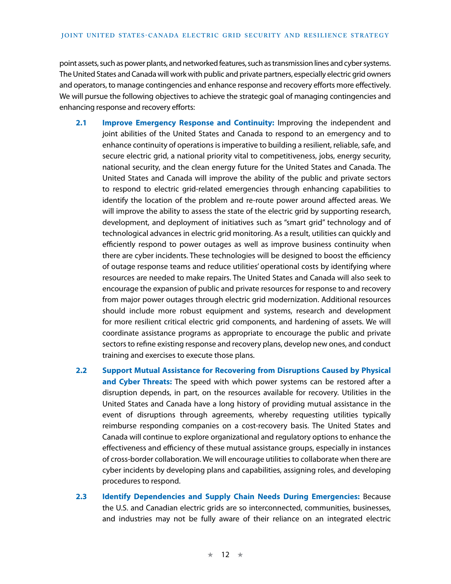point assets, such as power plants, and networked features, such as transmission lines and cyber systems. The United States and Canada will work with public and private partners, especially electric grid owners and operators, to manage contingencies and enhance response and recovery efforts more effectively. We will pursue the following objectives to achieve the strategic goal of managing contingencies and enhancing response and recovery efforts:

- **2.1 Improve Emergency Response and Continuity:** Improving the independent and joint abilities of the United States and Canada to respond to an emergency and to enhance continuity of operations is imperative to building a resilient, reliable, safe, and secure electric grid, a national priority vital to competitiveness, jobs, energy security, national security, and the clean energy future for the United States and Canada. The United States and Canada will improve the ability of the public and private sectors to respond to electric grid-related emergencies through enhancing capabilities to identify the location of the problem and re-route power around affected areas. We will improve the ability to assess the state of the electric grid by supporting research, development, and deployment of initiatives such as "smart grid" technology and of technological advances in electric grid monitoring. As a result, utilities can quickly and efficiently respond to power outages as well as improve business continuity when there are cyber incidents. These technologies will be designed to boost the efficiency of outage response teams and reduce utilities' operational costs by identifying where resources are needed to make repairs. The United States and Canada will also seek to encourage the expansion of public and private resources for response to and recovery from major power outages through electric grid modernization. Additional resources should include more robust equipment and systems, research and development for more resilient critical electric grid components, and hardening of assets. We will coordinate assistance programs as appropriate to encourage the public and private sectors to refine existing response and recovery plans, develop new ones, and conduct training and exercises to execute those plans.
- **2.2 Support Mutual Assistance for Recovering from Disruptions Caused by Physical and Cyber Threats:** The speed with which power systems can be restored after a disruption depends, in part, on the resources available for recovery. Utilities in the United States and Canada have a long history of providing mutual assistance in the event of disruptions through agreements, whereby requesting utilities typically reimburse responding companies on a cost-recovery basis. The United States and Canada will continue to explore organizational and regulatory options to enhance the effectiveness and efficiency of these mutual assistance groups, especially in instances of cross-border collaboration. We will encourage utilities to collaborate when there are cyber incidents by developing plans and capabilities, assigning roles, and developing procedures to respond.
- **2.3 Identify Dependencies and Supply Chain Needs During Emergencies:** Because the U.S. and Canadian electric grids are so interconnected, communities, businesses, and industries may not be fully aware of their reliance on an integrated electric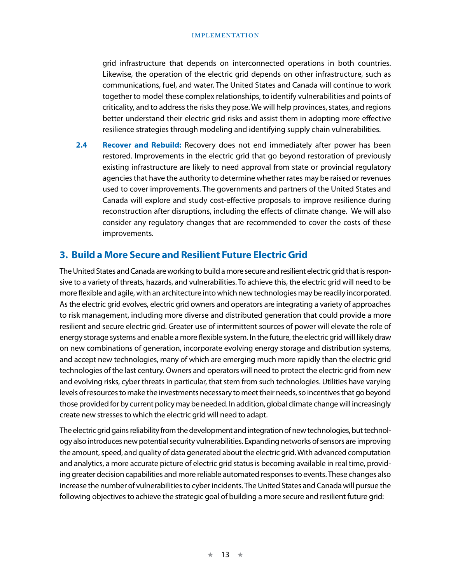grid infrastructure that depends on interconnected operations in both countries. Likewise, the operation of the electric grid depends on other infrastructure, such as communications, fuel, and water. The United States and Canada will continue to work together to model these complex relationships, to identify vulnerabilities and points of criticality, and to address the risks they pose. We will help provinces, states, and regions better understand their electric grid risks and assist them in adopting more effective resilience strategies through modeling and identifying supply chain vulnerabilities.

**2.4 Recover and Rebuild:** Recovery does not end immediately after power has been restored. Improvements in the electric grid that go beyond restoration of previously existing infrastructure are likely to need approval from state or provincial regulatory agencies that have the authority to determine whether rates may be raised or revenues used to cover improvements. The governments and partners of the United States and Canada will explore and study cost-effective proposals to improve resilience during reconstruction after disruptions, including the effects of climate change. We will also consider any regulatory changes that are recommended to cover the costs of these improvements.

#### **3. Build a More Secure and Resilient Future Electric Grid**

The United States and Canada are working to build a more secure and resilient electric grid that is responsive to a variety of threats, hazards, and vulnerabilities. To achieve this, the electric grid will need to be more flexible and agile, with an architecture into which new technologies may be readily incorporated. As the electric grid evolves, electric grid owners and operators are integrating a variety of approaches to risk management, including more diverse and distributed generation that could provide a more resilient and secure electric grid. Greater use of intermittent sources of power will elevate the role of energy storage systems and enable a more flexible system. In the future, the electric grid will likely draw on new combinations of generation, incorporate evolving energy storage and distribution systems, and accept new technologies, many of which are emerging much more rapidly than the electric grid technologies of the last century. Owners and operators will need to protect the electric grid from new and evolving risks, cyber threats in particular, that stem from such technologies. Utilities have varying levels of resources to make the investments necessary to meet their needs, so incentives that go beyond those provided for by current policy may be needed. In addition, global climate change will increasingly create new stresses to which the electric grid will need to adapt.

The electric grid gains reliability from the development and integration of new technologies, but technology also introduces new potential security vulnerabilities. Expanding networks of sensors are improving the amount, speed, and quality of data generated about the electric grid. With advanced computation and analytics, a more accurate picture of electric grid status is becoming available in real time, providing greater decision capabilities and more reliable automated responses to events. These changes also increase the number of vulnerabilities to cyber incidents. The United States and Canada will pursue the following objectives to achieve the strategic goal of building a more secure and resilient future grid: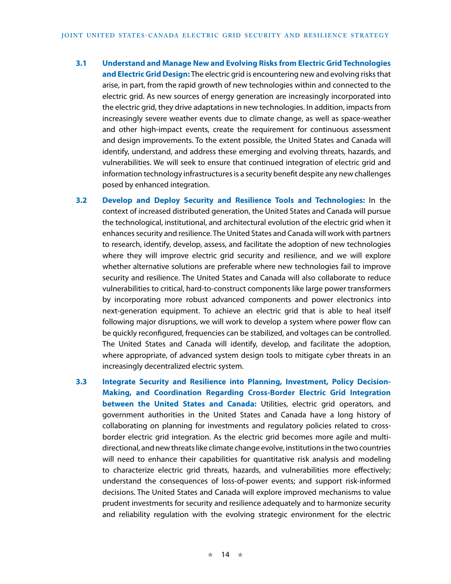- **3.1 Understand and Manage New and Evolving Risks from Electric Grid Technologies and Electric Grid Design:** The electric grid is encountering new and evolving risks that arise, in part, from the rapid growth of new technologies within and connected to the electric grid. As new sources of energy generation are increasingly incorporated into the electric grid, they drive adaptations in new technologies. In addition, impacts from increasingly severe weather events due to climate change, as well as space-weather and other high-impact events, create the requirement for continuous assessment and design improvements. To the extent possible, the United States and Canada will identify, understand, and address these emerging and evolving threats, hazards, and vulnerabilities. We will seek to ensure that continued integration of electric grid and information technology infrastructures is a security benefit despite any new challenges posed by enhanced integration.
- **3.2 Develop and Deploy Security and Resilience Tools and Technologies:** In the context of increased distributed generation, the United States and Canada will pursue the technological, institutional, and architectural evolution of the electric grid when it enhances security and resilience. The United States and Canada will work with partners to research, identify, develop, assess, and facilitate the adoption of new technologies where they will improve electric grid security and resilience, and we will explore whether alternative solutions are preferable where new technologies fail to improve security and resilience. The United States and Canada will also collaborate to reduce vulnerabilities to critical, hard-to-construct components like large power transformers by incorporating more robust advanced components and power electronics into next-generation equipment. To achieve an electric grid that is able to heal itself following major disruptions, we will work to develop a system where power flow can be quickly reconfigured, frequencies can be stabilized, and voltages can be controlled. The United States and Canada will identify, develop, and facilitate the adoption, where appropriate, of advanced system design tools to mitigate cyber threats in an increasingly decentralized electric system.
- **3.3 Integrate Security and Resilience into Planning, Investment, Policy Decision-Making, and Coordination Regarding Cross-Border Electric Grid Integration between the United States and Canada:** Utilities, electric grid operators, and government authorities in the United States and Canada have a long history of collaborating on planning for investments and regulatory policies related to crossborder electric grid integration. As the electric grid becomes more agile and multidirectional, and new threats like climate change evolve, institutions in the two countries will need to enhance their capabilities for quantitative risk analysis and modeling to characterize electric grid threats, hazards, and vulnerabilities more effectively; understand the consequences of loss-of-power events; and support risk-informed decisions. The United States and Canada will explore improved mechanisms to value prudent investments for security and resilience adequately and to harmonize security and reliability regulation with the evolving strategic environment for the electric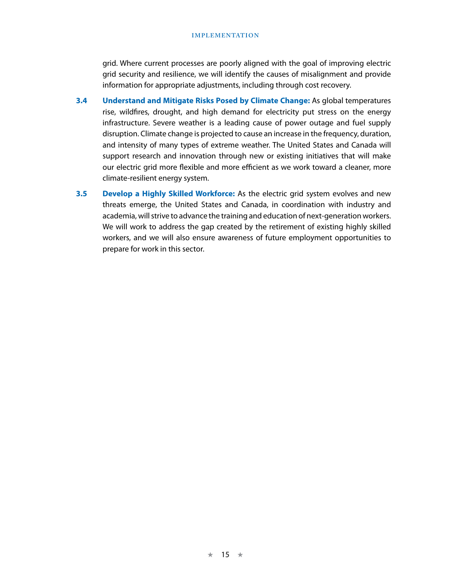grid. Where current processes are poorly aligned with the goal of improving electric grid security and resilience, we will identify the causes of misalignment and provide information for appropriate adjustments, including through cost recovery.

- **3.4 Understand and Mitigate Risks Posed by Climate Change:** As global temperatures rise, wildfires, drought, and high demand for electricity put stress on the energy infrastructure. Severe weather is a leading cause of power outage and fuel supply disruption. Climate change is projected to cause an increase in the frequency, duration, and intensity of many types of extreme weather. The United States and Canada will support research and innovation through new or existing initiatives that will make our electric grid more flexible and more efficient as we work toward a cleaner, more climate-resilient energy system.
- **3.5 Develop a Highly Skilled Workforce:** As the electric grid system evolves and new threats emerge, the United States and Canada, in coordination with industry and academia, will strive to advance the training and education of next-generation workers. We will work to address the gap created by the retirement of existing highly skilled workers, and we will also ensure awareness of future employment opportunities to prepare for work in this sector.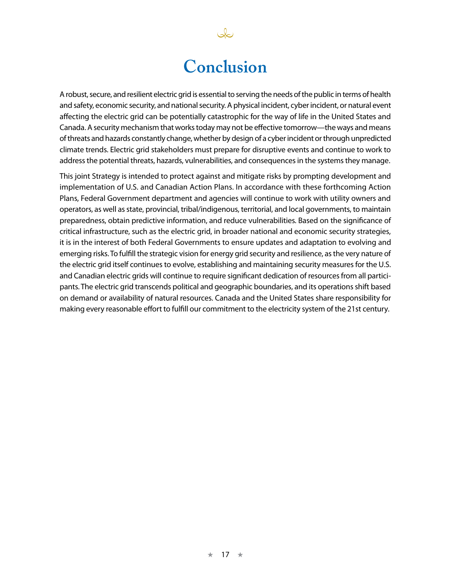## **Conclusion**

نكك

A robust, secure, and resilient electric grid is essential to serving the needs of the public in terms of health and safety, economic security, and national security. A physical incident, cyber incident, or natural event affecting the electric grid can be potentially catastrophic for the way of life in the United States and Canada. A security mechanism that works today may not be effective tomorrow—the ways and means of threats and hazards constantly change, whether by design of a cyber incident or through unpredicted climate trends. Electric grid stakeholders must prepare for disruptive events and continue to work to address the potential threats, hazards, vulnerabilities, and consequences in the systems they manage.

This joint Strategy is intended to protect against and mitigate risks by prompting development and implementation of U.S. and Canadian Action Plans. In accordance with these forthcoming Action Plans, Federal Government department and agencies will continue to work with utility owners and operators, as well as state, provincial, tribal/indigenous, territorial, and local governments, to maintain preparedness, obtain predictive information, and reduce vulnerabilities. Based on the significance of critical infrastructure, such as the electric grid, in broader national and economic security strategies, it is in the interest of both Federal Governments to ensure updates and adaptation to evolving and emerging risks. To fulfill the strategic vision for energy grid security and resilience, as the very nature of the electric grid itself continues to evolve, establishing and maintaining security measures for the U.S. and Canadian electric grids will continue to require significant dedication of resources from all participants. The electric grid transcends political and geographic boundaries, and its operations shift based on demand or availability of natural resources. Canada and the United States share responsibility for making every reasonable effort to fulfill our commitment to the electricity system of the 21st century.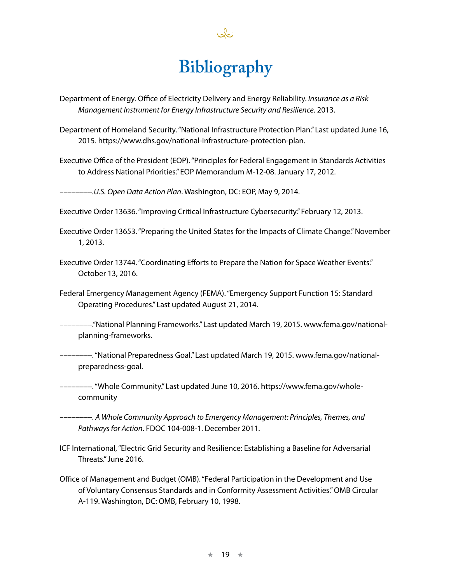# **Bibliography**

Department of Energy. Office of Electricity Delivery and Energy Reliability. *Insurance as a Risk Management Instrument for Energy Infrastructure Security and Resilience*. 2013.

Department of Homeland Security. "National Infrastructure Protection Plan." Last updated June 16, 2015.https://www.dhs.gov/national-infrastructure-protection-plan.

Executive Office of the President (EOP). "Principles for Federal Engagement in Standards Activities to Address National Priorities." EOP Memorandum M-12-08. January 17, 2012.

––––––––.*U.S. Open Data Action Plan*. Washington, DC: EOP, May 9, 2014.

Executive Order 13636. "Improving Critical Infrastructure Cybersecurity." February 12, 2013.

- Executive Order 13653. "Preparing the United States for the Impacts of Climate Change." November 1, 2013.
- Executive Order 13744. "Coordinating Efforts to Prepare the Nation for Space Weather Events." October 13, 2016.
- Federal Emergency Management Agency (FEMA). "Emergency Support Function 15: Standard Operating Procedures." Last updated August 21, 2014.
- ––––––––."National Planning Frameworks." Last updated March 19, 2015.[www.fema.gov/national](http://www.fema.gov/national-planning-frameworks)[planning-frameworks.](http://www.fema.gov/national-planning-frameworks)
- ––––––––. "National Preparedness Goal." Last updated March 19, 2015.[www.fema.gov/national](https://www.fema.gov/national-preparedness-goal)[preparedness-goal](https://www.fema.gov/national-preparedness-goal).

––––––––. "Whole Community." Last updated June 10, 2016. https://www.fema.gov/wholecommunity

––––––––.*A Whole Community Approach to Emergency Management: Principles, Themes, and Pathways for Action*. FDOC 104-008-1. December 2011.

- ICF International, "Electric Grid Security and Resilience: Establishing a Baseline for Adversarial Threats." June 2016.
- Office of Management and Budget (OMB). "Federal Participation in the Development and Use of Voluntary Consensus Standards and in Conformity Assessment Activities." OMB Circular A-119. Washington, DC: OMB, February 10, 1998.